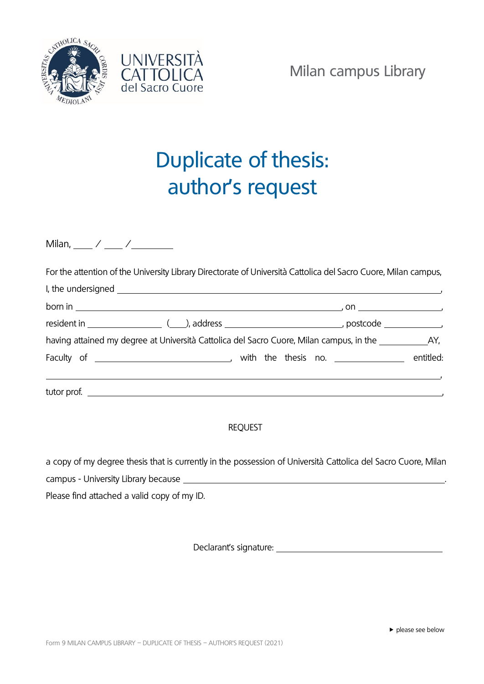



## Duplicate of thesis: author's request

Milan, / /

For the attention of the University Library Directorate of Università Cattolica del Sacro Cuore, Milan campus,

| born in $\overline{\phantom{a}}$ |                                                                                                          |  |
|----------------------------------|----------------------------------------------------------------------------------------------------------|--|
|                                  |                                                                                                          |  |
|                                  | having attained my degree at Università Cattolica del Sacro Cuore, Milan campus, in the ____________ AY, |  |
|                                  |                                                                                                          |  |
|                                  |                                                                                                          |  |

## REQUEST

a copy of my degree thesis that is currently in the possession of Università Cattolica del Sacro Cuore, Milan campus - University Library because . Please find attached a valid copy of my ID.

Declarant's signature: